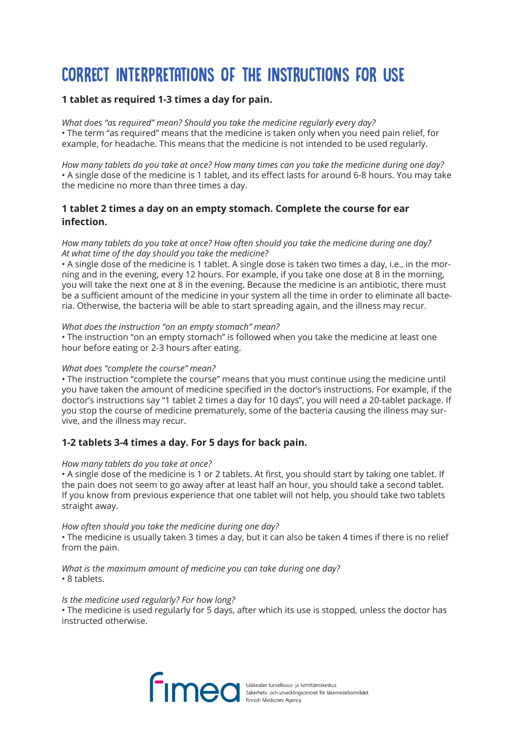# CORRECT INTERPRETATIONS OF THE INSTRUCTIONS FOR USE

## **1 tablet as required 1-3 times a day for pain.**

*What does "as required" mean? Should you take the medicine regularly every day?* • The term "as required" means that the medicine is taken only when you need pain relief, for example, for headache. This means that the medicine is not intended to be used regularly.

*How many tablets do you take at once? How many times can you take the medicine during one day?* • A single dose of the medicine is 1 tablet, and its effect lasts for around 6-8 hours. You may take the medicine no more than three times a day.

# **1 tablet 2 times a day on an empty stomach. Complete the course for ear infection.**

## *How many tablets do you take at once? How often should you take the medicine during one day? At what time of the day should you take the medicine?*

• A single dose of the medicine is 1 tablet. A single dose is taken two times a day, i.e., in the morning and in the evening, every 12 hours. For example, if you take one dose at 8 in the morning, you will take the next one at 8 in the evening. Because the medicine is an antibiotic, there must be a sufficient amount of the medicine in your system all the time in order to eliminate all bacteria. Otherwise, the bacteria will be able to start spreading again, and the illness may recur.

## *What does the instruction "on an empty stomach" mean?*

• The instruction "on an empty stomach" is followed when you take the medicine at least one hour before eating or 2-3 hours after eating.

## *What does "complete the course" mean?*

• The instruction "complete the course" means that you must continue using the medicine until you have taken the amount of medicine specified in the doctor's instructions. For example, if the doctor's instructions say "1 tablet 2 times a day for 10 days", you will need a 20-tablet package. If you stop the course of medicine prematurely, some of the bacteria causing the illness may survive, and the illness may recur.

# **1-2 tablets 3-4 times a day. For 5 days for back pain.**

## *How many tablets do you take at once?*

• A single dose of the medicine is 1 or 2 tablets. At first, you should start by taking one tablet. If the pain does not seem to go away after at least half an hour, you should take a second tablet. If you know from previous experience that one tablet will not help, you should take two tablets straight away.

## *How often should you take the medicine during one day?*

• The medicine is usually taken 3 times a day, but it can also be taken 4 times if there is no relief from the pain.

*What is the maximum amount of medicine you can take during one day?* • 8 tablets.

## *Is the medicine used regularly? For how long?*

• The medicine is used regularly for 5 days, after which its use is stopped, unless the doctor has instructed otherwise.